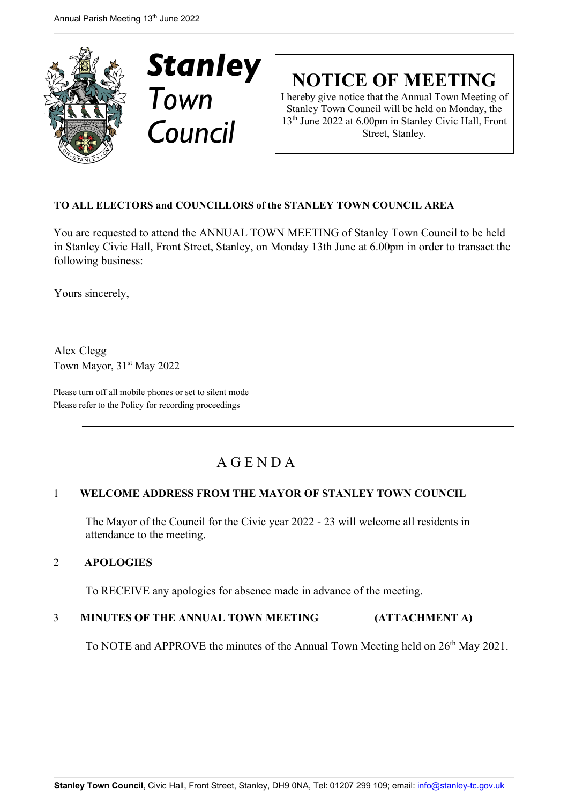



**NOTICE OF MEETING**

I hereby give notice that the Annual Town Meeting of Stanley Town Council will be held on Monday, the 13th June 2022 at 6.00pm in Stanley Civic Hall, Front Street, Stanley.

# **TO ALL ELECTORS and COUNCILLORS of the STANLEY TOWN COUNCIL AREA**

You are requested to attend the ANNUAL TOWN MEETING of Stanley Town Council to be held in Stanley Civic Hall, Front Street, Stanley, on Monday 13th June at 6.00pm in order to transact the following business:

Yours sincerely,

Alex Clegg Town Mayor, 31<sup>st</sup> May 2022

Please turn off all mobile phones or set to silent mode Please refer to the Policy for recording proceedings

# A G E N D A

## 1 **WELCOME ADDRESS FROM THE MAYOR OF STANLEY TOWN COUNCIL**

The Mayor of the Council for the Civic year 2022 - 23 will welcome all residents in attendance to the meeting.

## 2 **APOLOGIES**

To RECEIVE any apologies for absence made in advance of the meeting.

## 3 **MINUTES OF THE ANNUAL TOWN MEETING (ATTACHMENT A)**

To NOTE and APPROVE the minutes of the Annual Town Meeting held on 26<sup>th</sup> May 2021.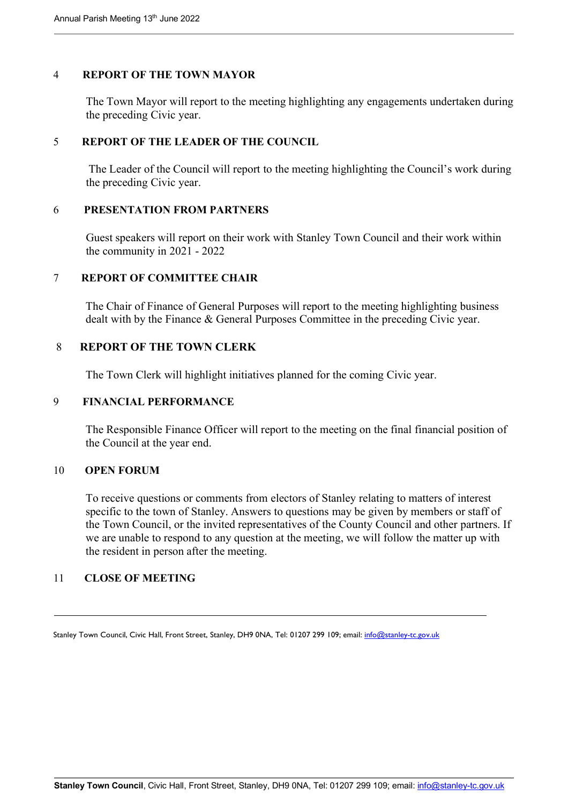#### 4 **REPORT OF THE TOWN MAYOR**

The Town Mayor will report to the meeting highlighting any engagements undertaken during the preceding Civic year.

#### 5 **REPORT OF THE LEADER OF THE COUNCIL**

The Leader of the Council will report to the meeting highlighting the Council's work during the preceding Civic year.

#### 6 **PRESENTATION FROM PARTNERS**

Guest speakers will report on their work with Stanley Town Council and their work within the community in 2021 - 2022

## 7 **REPORT OF COMMITTEE CHAIR**

The Chair of Finance of General Purposes will report to the meeting highlighting business dealt with by the Finance & General Purposes Committee in the preceding Civic year.

#### 8 **REPORT OF THE TOWN CLERK**

The Town Clerk will highlight initiatives planned for the coming Civic year.

#### 9 **FINANCIAL PERFORMANCE**

The Responsible Finance Officer will report to the meeting on the final financial position of the Council at the year end.

#### 10 **OPEN FORUM**

To receive questions or comments from electors of Stanley relating to matters of interest specific to the town of Stanley. Answers to questions may be given by members or staff of the Town Council, or the invited representatives of the County Council and other partners. If we are unable to respond to any question at the meeting, we will follow the matter up with the resident in person after the meeting.

#### 11 **CLOSE OF MEETING**

Stanley Town Council, Civic Hall, Front Street, Stanley, DH9 0NA, Tel: 01207 299 109; email: info@stanley-tc.gov.uk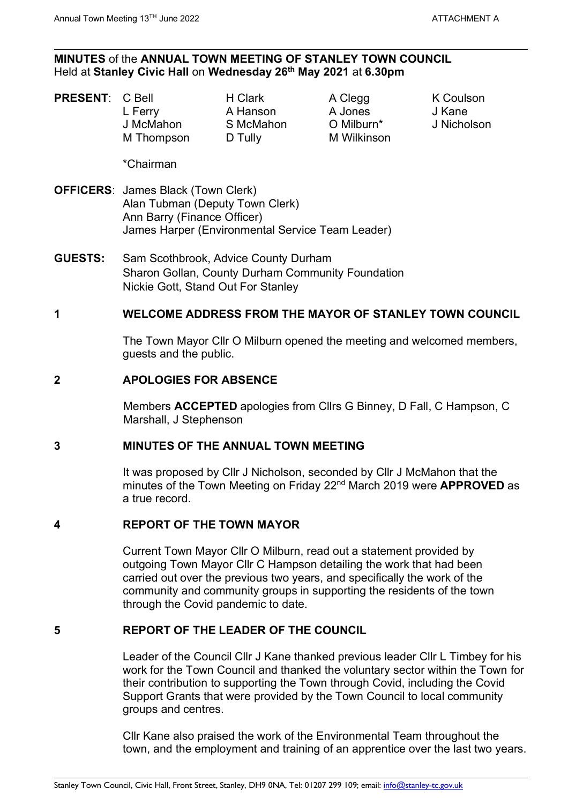#### **MINUTES** of the **ANNUAL TOWN MEETING OF STANLEY TOWN COUNCIL** Held at **Stanley Civic Hall** on **Wednesday 26th May 2021** at **6.30pm**

- **PRESENT:** C Bell **H Clark** A Clegg K Coulson
	- L Ferry A Hanson A Jones J Kane J McMahon S McMahon O Milburn\* J Nicholson M Thompson D Tully M Wilkinson

\*Chairman

- **OFFICERS**: James Black (Town Clerk) Alan Tubman (Deputy Town Clerk) Ann Barry (Finance Officer) James Harper (Environmental Service Team Leader)
- **GUESTS:** Sam Scothbrook, Advice County Durham Sharon Gollan, County Durham Community Foundation Nickie Gott, Stand Out For Stanley

## **1 WELCOME ADDRESS FROM THE MAYOR OF STANLEY TOWN COUNCIL**

The Town Mayor Cllr O Milburn opened the meeting and welcomed members, guests and the public.

#### **2 APOLOGIES FOR ABSENCE**

Members **ACCEPTED** apologies from Cllrs G Binney, D Fall, C Hampson, C Marshall, J Stephenson

#### **3 MINUTES OF THE ANNUAL TOWN MEETING**

It was proposed by Cllr J Nicholson, seconded by Cllr J McMahon that the minutes of the Town Meeting on Friday 22nd March 2019 were **APPROVED** as a true record.

## **4 REPORT OF THE TOWN MAYOR**

Current Town Mayor Cllr O Milburn, read out a statement provided by outgoing Town Mayor Cllr C Hampson detailing the work that had been carried out over the previous two years, and specifically the work of the community and community groups in supporting the residents of the town through the Covid pandemic to date.

## **5 REPORT OF THE LEADER OF THE COUNCIL**

Leader of the Council Cllr J Kane thanked previous leader Cllr L Timbey for his work for the Town Council and thanked the voluntary sector within the Town for their contribution to supporting the Town through Covid, including the Covid Support Grants that were provided by the Town Council to local community groups and centres.

Cllr Kane also praised the work of the Environmental Team throughout the town, and the employment and training of an apprentice over the last two years.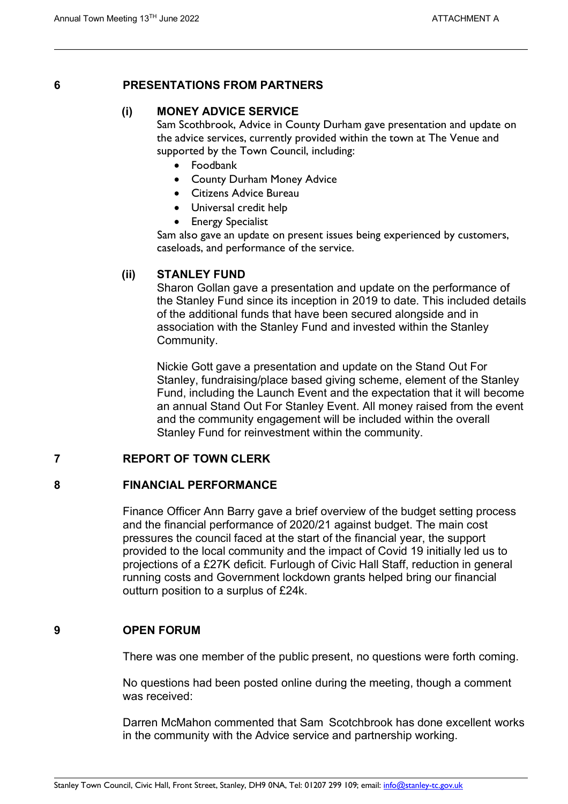## **6 PRESENTATIONS FROM PARTNERS**

# **(i) MONEY ADVICE SERVICE**

Sam Scothbrook, Advice in County Durham gave presentation and update on the advice services, currently provided within the town at The Venue and supported by the Town Council, including:

- Foodbank
- County Durham Money Advice
- Citizens Advice Bureau
- Universal credit help
- Energy Specialist

Sam also gave an update on present issues being experienced by customers, caseloads, and performance of the service.

## **(ii) STANLEY FUND**

Sharon Gollan gave a presentation and update on the performance of the Stanley Fund since its inception in 2019 to date. This included details of the additional funds that have been secured alongside and in association with the Stanley Fund and invested within the Stanley Community.

Nickie Gott gave a presentation and update on the Stand Out For Stanley, fundraising/place based giving scheme, element of the Stanley Fund, including the Launch Event and the expectation that it will become an annual Stand Out For Stanley Event. All money raised from the event and the community engagement will be included within the overall Stanley Fund for reinvestment within the community.

## **7 REPORT OF TOWN CLERK**

## **8 FINANCIAL PERFORMANCE**

Finance Officer Ann Barry gave a brief overview of the budget setting process and the financial performance of 2020/21 against budget. The main cost pressures the council faced at the start of the financial year, the support provided to the local community and the impact of Covid 19 initially led us to projections of a £27K deficit. Furlough of Civic Hall Staff, reduction in general running costs and Government lockdown grants helped bring our financial outturn position to a surplus of £24k.

## **9 OPEN FORUM**

There was one member of the public present, no questions were forth coming.

No questions had been posted online during the meeting, though a comment was received:

Darren McMahon commented that Sam Scotchbrook has done excellent works in the community with the Advice service and partnership working.